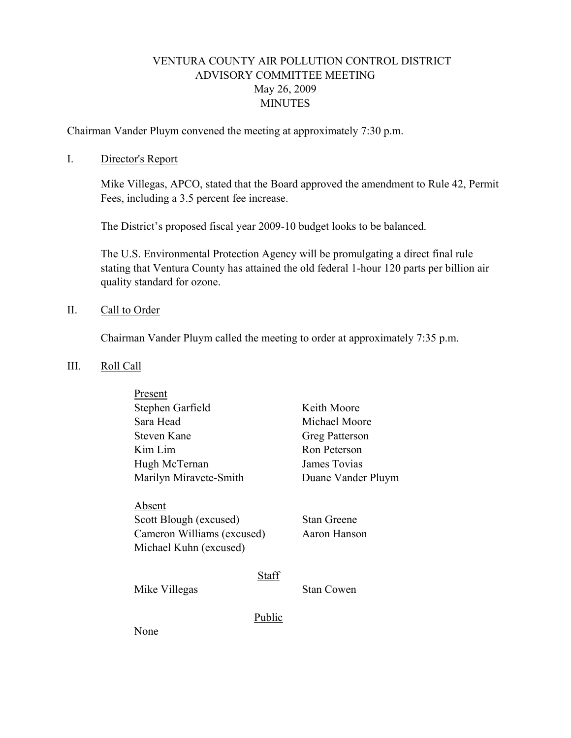# VENTURA COUNTY AIR POLLUTION CONTROL DISTRICT ADVISORY COMMITTEE MEETING May 26, 2009 **MINUTES**

Chairman Vander Pluym convened the meeting at approximately 7:30 p.m.

#### I. Director's Report

Mike Villegas, APCO, stated that the Board approved the amendment to Rule 42, Permit Fees, including a 3.5 percent fee increase.

The District's proposed fiscal year 2009-10 budget looks to be balanced.

The U.S. Environmental Protection Agency will be promulgating a direct final rule stating that Ventura County has attained the old federal 1-hour 120 parts per billion air quality standard for ozone.

### II. Call to Order

Chairman Vander Pluym called the meeting to order at approximately 7:35 p.m.

#### III. Roll Call

| Present                                                                                  |        |                                    |
|------------------------------------------------------------------------------------------|--------|------------------------------------|
| Stephen Garfield                                                                         |        | Keith Moore                        |
| Sara Head                                                                                |        | Michael Moore                      |
| Steven Kane                                                                              |        | Greg Patterson                     |
| Kim Lim                                                                                  |        | Ron Peterson                       |
| Hugh McTernan                                                                            |        | James Tovias                       |
| Marilyn Miravete-Smith                                                                   |        | Duane Vander Pluym                 |
| Absent<br>Scott Blough (excused)<br>Cameron Williams (excused)<br>Michael Kuhn (excused) |        | <b>Stan Greene</b><br>Aaron Hanson |
| Mike Villegas                                                                            | Staff  | <b>Stan Cowen</b>                  |
| None                                                                                     | Public |                                    |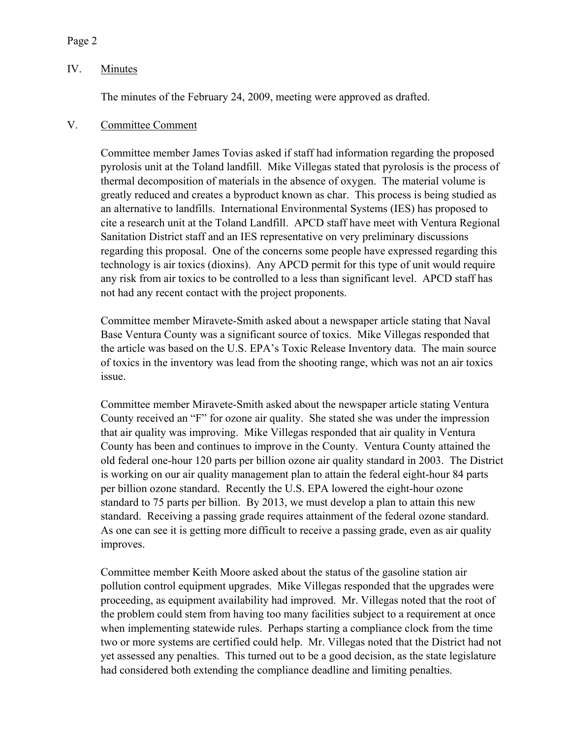### Page 2

## IV. Minutes

The minutes of the February 24, 2009, meeting were approved as drafted.

## V. Committee Comment

Committee member James Tovias asked if staff had information regarding the proposed pyrolosis unit at the Toland landfill. Mike Villegas stated that pyrolosis is the process of thermal decomposition of materials in the absence of oxygen. The material volume is greatly reduced and creates a byproduct known as char. This process is being studied as an alternative to landfills. International Environmental Systems (IES) has proposed to cite a research unit at the Toland Landfill. APCD staff have meet with Ventura Regional Sanitation District staff and an IES representative on very preliminary discussions regarding this proposal. One of the concerns some people have expressed regarding this technology is air toxics (dioxins). Any APCD permit for this type of unit would require any risk from air toxics to be controlled to a less than significant level. APCD staff has not had any recent contact with the project proponents.

Committee member Miravete-Smith asked about a newspaper article stating that Naval Base Ventura County was a significant source of toxics. Mike Villegas responded that the article was based on the U.S. EPA's Toxic Release Inventory data. The main source of toxics in the inventory was lead from the shooting range, which was not an air toxics issue.

Committee member Miravete-Smith asked about the newspaper article stating Ventura County received an "F" for ozone air quality. She stated she was under the impression that air quality was improving. Mike Villegas responded that air quality in Ventura County has been and continues to improve in the County. Ventura County attained the old federal one-hour 120 parts per billion ozone air quality standard in 2003. The District is working on our air quality management plan to attain the federal eight-hour 84 parts per billion ozone standard. Recently the U.S. EPA lowered the eight-hour ozone standard to 75 parts per billion. By 2013, we must develop a plan to attain this new standard. Receiving a passing grade requires attainment of the federal ozone standard. As one can see it is getting more difficult to receive a passing grade, even as air quality improves.

Committee member Keith Moore asked about the status of the gasoline station air pollution control equipment upgrades. Mike Villegas responded that the upgrades were proceeding, as equipment availability had improved. Mr. Villegas noted that the root of the problem could stem from having too many facilities subject to a requirement at once when implementing statewide rules. Perhaps starting a compliance clock from the time two or more systems are certified could help. Mr. Villegas noted that the District had not yet assessed any penalties. This turned out to be a good decision, as the state legislature had considered both extending the compliance deadline and limiting penalties.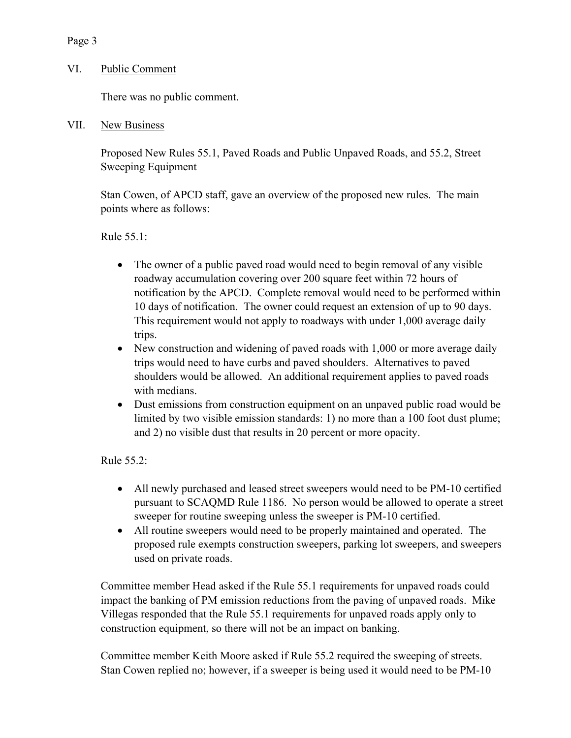## Page 3

## VI. Public Comment

There was no public comment.

VII. New Business

 Proposed New Rules 55.1, Paved Roads and Public Unpaved Roads, and 55.2, Street Sweeping Equipment

Stan Cowen, of APCD staff, gave an overview of the proposed new rules. The main points where as follows:

Rule 55.1:

- The owner of a public paved road would need to begin removal of any visible roadway accumulation covering over 200 square feet within 72 hours of notification by the APCD. Complete removal would need to be performed within 10 days of notification. The owner could request an extension of up to 90 days. This requirement would not apply to roadways with under 1,000 average daily trips.
- New construction and widening of paved roads with 1,000 or more average daily trips would need to have curbs and paved shoulders. Alternatives to paved shoulders would be allowed. An additional requirement applies to paved roads with medians.
- Dust emissions from construction equipment on an unpaved public road would be limited by two visible emission standards: 1) no more than a 100 foot dust plume; and 2) no visible dust that results in 20 percent or more opacity.

Rule 55.2:

- All newly purchased and leased street sweepers would need to be PM-10 certified pursuant to SCAQMD Rule 1186. No person would be allowed to operate a street sweeper for routine sweeping unless the sweeper is PM-10 certified.
- All routine sweepers would need to be properly maintained and operated. The proposed rule exempts construction sweepers, parking lot sweepers, and sweepers used on private roads.

Committee member Head asked if the Rule 55.1 requirements for unpaved roads could impact the banking of PM emission reductions from the paving of unpaved roads. Mike Villegas responded that the Rule 55.1 requirements for unpaved roads apply only to construction equipment, so there will not be an impact on banking.

Committee member Keith Moore asked if Rule 55.2 required the sweeping of streets. Stan Cowen replied no; however, if a sweeper is being used it would need to be PM-10